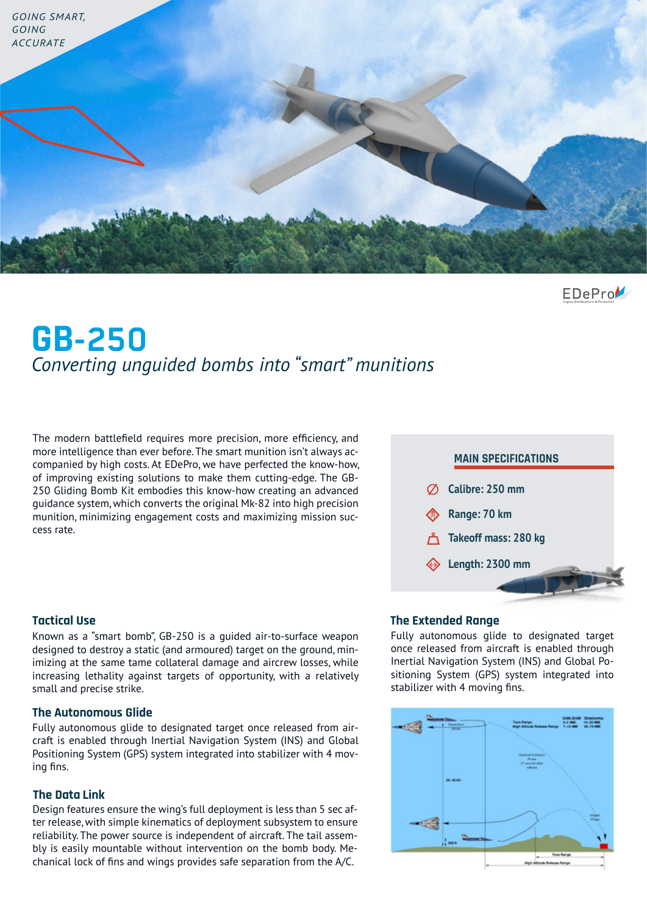

EDePro

# **GB-250** *Converting unguided bombs into "smart" munitions*

The modern battlefield requires more precision, more efficiency, and more intelligence than ever before. The smart munition isn't always accompanied by high costs. At EDePro, we have perfected the know-how, of improving existing solutions to make them cutting-edge. The GB-250 Gliding Bomb Kit embodies this know-how creating an advanced guidance system, which converts the original Mk-82 into high precision munition, minimizing engagement costs and maximizing mission success rate.

# **Calibre: 250 mm Range: 70 km Takeoff mass: 280 kg Length: 2300 mm MAIN SPECIFICATIONS**

Known as a "smart bomb", GB-250 is a guided air-to-surface weapon designed to destroy a static (and armoured) target on the ground, minimizing at the same tame collateral damage and aircrew losses, while increasing lethality against targets of opportunity, with a relatively small and precise strike.

#### **The Autonomous Glide**

Fully autonomous glide to designated target once released from aircraft is enabled through Inertial Navigation System (INS) and Global Positioning System (GPS) system integrated into stabilizer with 4 moving fins.

#### **The Data Link**

Design features ensure the wing's full deployment is less than 5 sec after release, with simple kinematics of deployment subsystem to ensure reliability. The power source is independent of aircraft. The tail assembly is easily mountable without intervention on the bomb body. Mechanical lock of fins and wings provides safe separation from the A/C.

### **Tactical Use The Extended Range**

Fully autonomous glide to designated target once released from aircraft is enabled through Inertial Navigation System (INS) and Global Positioning System (GPS) system integrated into stabilizer with 4 moving fins.